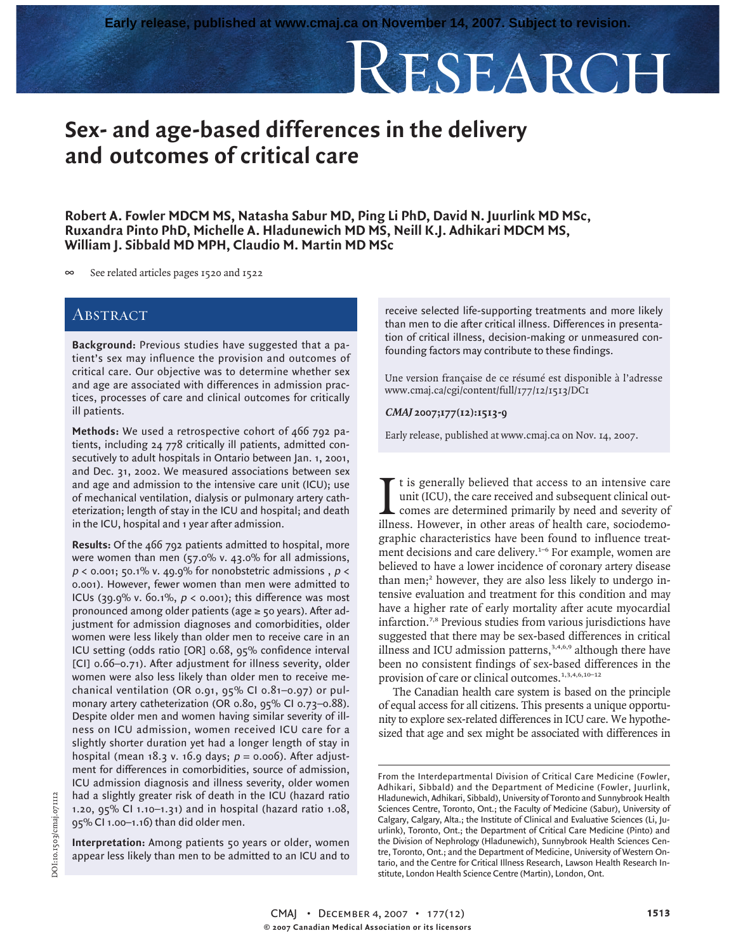# **Sex- and age-based differences in the delivery and outcomes of critical care**

**Robert A. Fowler MDCM MS, Natasha Sabur MD, Ping Li PhD, David N. Juurlink MD MSc, Ruxandra Pinto PhD, Michelle A. Hladunewich MD MS, Neill K.J. Adhikari MDCM MS, William J. Sibbald MD MPH, Claudio M. Martin MD MSc**

@See related articles pages 1520 and 1522

**Background:** Previous studies have suggested that a patient's sex may influence the provision and outcomes of critical care. Our objective was to determine whether sex and age are associated with differences in admission practices, processes of care and clinical outcomes for critically ill patients.

**Methods:** We used a retrospective cohort of 466 792 patients, including 24 778 critically ill patients, admitted consecutively to adult hospitals in Ontario between Jan. 1, 2001, and Dec. 31, 2002. We measured associations between sex and age and admission to the intensive care unit (ICU); use of mechanical ventilation, dialysis or pulmonary artery catheterization; length of stay in the ICU and hospital; and death in the ICU, hospital and 1 year after admission.

**Results:** Of the 466 792 patients admitted to hospital, more were women than men (57.0% v. 43.0% for all admissions,  $p$  < 0.001; 50.1% v. 49.9% for nonobstetric admissions,  $p$  < 0.001). However, fewer women than men were admitted to ICUs (39.9% v. 60.1%,  $p <$  0.001); this difference was most pronounced among older patients (age ≥ 50 years). After adjustment for admission diagnoses and comorbidities, older women were less likely than older men to receive care in an ICU setting (odds ratio [OR] 0.68, 95% confidence interval [CI] 0.66–0.71). After adjustment for illness severity, older women were also less likely than older men to receive mechanical ventilation (OR 0.91, 95% CI 0.81–0.97) or pulmonary artery catheterization (OR 0.80, 95% CI 0.73–0.88). Despite older men and women having similar severity of illness on ICU admission, women received ICU care for a slightly shorter duration yet had a longer length of stay in hospital (mean 18.3 v. 16.9 days;  $p = 0.006$ ). After adjustment for differences in comorbidities, source of admission, ICU admission diagnosis and illness severity, older women had a slightly greater risk of death in the ICU (hazard ratio 1.20, 95% CI 1.10–1.31) and in hospital (hazard ratio 1.08, 95% CI 1.00–1.16) than did older men.

**Interpretation:** Among patients 50 years or older, women appear less likely than men to be admitted to an ICU and to

ABSTRACT **RECOLLECT** RECEIVE RECEIVE SELECT RECEIVE SELECT RECEIVE SELECT RECEIVED AS A RECEIVED OF A RECEIVED ASSAULT OF A RECEIVED AND THE SELECT OF A RECEIVED ASSAULT OF A RECEIVED ASSAULT OF A RECEIVED ASSAULT OF A REC than men to die after critical illness. Differences in presentation of critical illness, decision-making or unmeasured confounding factors may contribute to these findings.

RESEARCH

Une version française de ce résumé est disponible à l'adresse www.cmaj.ca/cgi/content/full/177/12/1513/DC1

### **CMAJ 2007;177(12):1513-9**

Early release, published at www.cmaj.ca on Nov. 14, 2007.

 $\prod_{\text{illin}}$ t is generally believed that access to an intensive care unit (ICU), the care received and subsequent clinical outcomes are determined primarily by need and severity of illness. However, in other areas of health care, sociodemographic characteristics have been found to influence treatment decisions and care delivery.<sup>1-6</sup> For example, women are believed to have a lower incidence of coronary artery disease than men;<sup>2</sup> however, they are also less likely to undergo intensive evaluation and treatment for this condition and may have a higher rate of early mortality after acute myocardial infarction.7,8 Previous studies from various jurisdictions have suggested that there may be sex-based differences in critical illness and ICU admission patterns,  $3,4,6,9$  although there have been no consistent findings of sex-based differences in the provision of care or clinical outcomes.<sup>1,3,4,6,10-12</sup>

The Canadian health care system is based on the principle of equal access for all citizens. This presents a unique opportunity to explore sex-related differences in ICU care. We hypothesized that age and sex might be associated with differences in

From the Interdepartmental Division of Critical Care Medicine (Fowler, Adhikari, Sibbald) and the Department of Medicine (Fowler, Juurlink, Hladunewich, Adhikari, Sibbald), University of Toronto and Sunnybrook Health Sciences Centre, Toronto, Ont.; the Faculty of Medicine (Sabur), University of Calgary, Calgary, Alta.; the Institute of Clinical and Evaluative Sciences (Li, Juurlink), Toronto, Ont.; the Department of Critical Care Medicine (Pinto) and the Division of Nephrology (Hladunewich), Sunnybrook Health Sciences Centre, Toronto, Ont.; and the Department of Medicine, University of Western Ontario, and the Centre for Critical Illness Research, Lawson Health Research Institute, London Health Science Centre (Martin), London, Ont.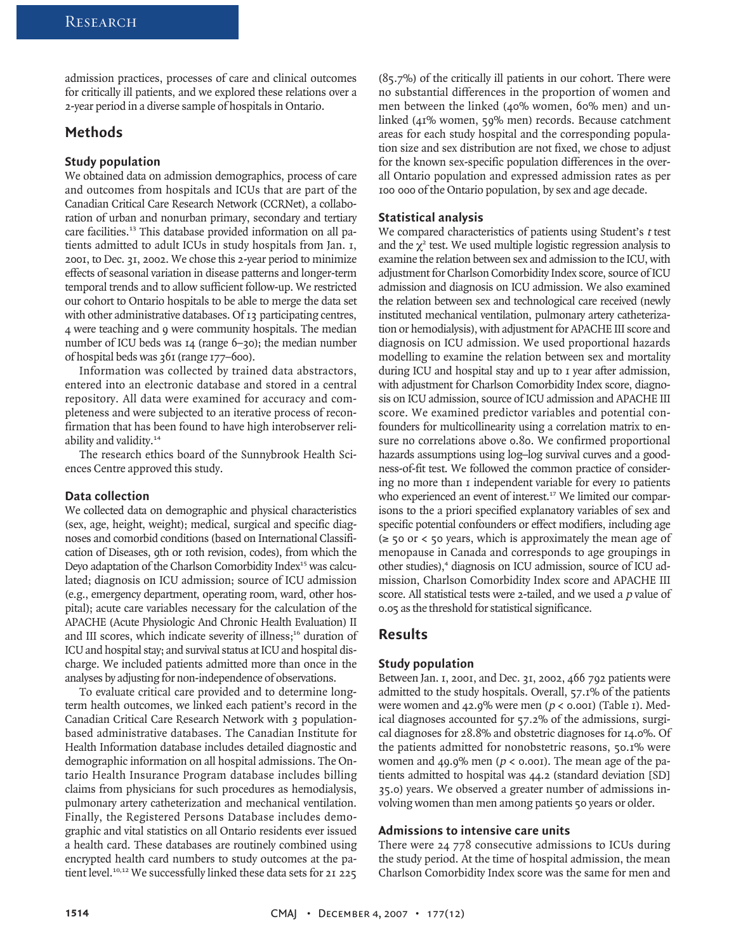admission practices, processes of care and clinical outcomes for critically ill patients, and we explored these relations over a 2-year period in a diverse sample of hospitals in Ontario.

# **Methods**

# **Study population**

We obtained data on admission demographics, process of care and outcomes from hospitals and ICUs that are part of the Canadian Critical Care Research Network (CCRNet), a collaboration of urban and nonurban primary, secondary and tertiary care facilities.<sup>13</sup> This database provided information on all patients admitted to adult ICUs in study hospitals from Jan. 1, 2001, to Dec. 31, 2002. We chose this 2-year period to minimize effects of seasonal variation in disease patterns and longer-term temporal trends and to allow sufficient follow-up. We restricted our cohort to Ontario hospitals to be able to merge the data set with other administrative databases. Of 13 participating centres, 4 were teaching and 9 were community hospitals. The median number of ICU beds was 14 (range 6–30); the median number of hospital beds was 361 (range 177–600).

Information was collected by trained data abstractors, entered into an electronic database and stored in a central repository. All data were examined for accuracy and completeness and were subjected to an iterative process of reconfirmation that has been found to have high interobserver reliability and validity.<sup>14</sup>

The research ethics board of the Sunnybrook Health Sciences Centre approved this study.

### **Data collection**

We collected data on demographic and physical characteristics (sex, age, height, weight); medical, surgical and specific diagnoses and comorbid conditions (based on International Classification of Diseases, 9th or 10th revision, codes), from which the Deyo adaptation of the Charlson Comorbidity Index<sup>15</sup> was calculated; diagnosis on ICU admission; source of ICU admission (e.g., emergency department, operating room, ward, other hospital); acute care variables necessary for the calculation of the APACHE (Acute Physiologic And Chronic Health Evaluation) II and III scores, which indicate severity of illness;<sup>16</sup> duration of ICU and hospital stay; and survival status at ICU and hospital discharge. We included patients admitted more than once in the analyses by adjusting for non-independence of observations.

To evaluate critical care provided and to determine longterm health outcomes, we linked each patient's record in the Canadian Critical Care Research Network with 3 populationbased administrative databases. The Canadian Institute for Health Information database includes detailed diagnostic and demographic information on all hospital admissions. The Ontario Health Insurance Program database includes billing claims from physicians for such procedures as hemodialysis, pulmonary artery catheterization and mechanical ventilation. Finally, the Registered Persons Database includes demographic and vital statistics on all Ontario residents ever issued a health card. These databases are routinely combined using encrypted health card numbers to study outcomes at the patient level.<sup>10,12</sup> We successfully linked these data sets for 21 225 (85.7%) of the critically ill patients in our cohort. There were no substantial differences in the proportion of women and men between the linked (40% women, 60% men) and unlinked (41% women, 59% men) records. Because catchment areas for each study hospital and the corresponding population size and sex distribution are not fixed, we chose to adjust for the known sex-specific population differences in the overall Ontario population and expressed admission rates as per 100 000 of the Ontario population, by sex and age decade.

# **Statistical analysis**

We compared characteristics of patients using Student's  $t$  test and the  $\chi^2$  test. We used multiple logistic regression analysis to examine the relation between sex and admission to the ICU, with adjustment for Charlson Comorbidity Index score, source of ICU admission and diagnosis on ICU admission. We also examined the relation between sex and technological care received (newly instituted mechanical ventilation, pulmonary artery catheterization or hemodialysis), with adjustment for APACHE III score and diagnosis on ICU admission. We used proportional hazards modelling to examine the relation between sex and mortality during ICU and hospital stay and up to 1 year after admission, with adjustment for Charlson Comorbidity Index score, diagnosis on ICU admission, source of ICU admission and APACHE III score. We examined predictor variables and potential confounders for multicollinearity using a correlation matrix to ensure no correlations above 0.80. We confirmed proportional hazards assumptions using log–log survival curves and a goodness-of-fit test. We followed the common practice of considering no more than I independent variable for every 10 patients who experienced an event of interest.<sup>17</sup> We limited our comparisons to the a priori specified explanatory variables of sex and specific potential confounders or effect modifiers, including age  $\geq$  50 or < 50 years, which is approximately the mean age of menopause in Canada and corresponds to age groupings in other studies),<sup>4</sup> diagnosis on ICU admission, source of ICU admission, Charlson Comorbidity Index score and APACHE III score. All statistical tests were 2-tailed, and we used a p value of 0.05 as the threshold for statistical significance.

# **Results**

### **Study population**

Between Jan. 1, 2001, and Dec. 31, 2002, 466 792 patients were admitted to the study hospitals. Overall, 57.1% of the patients were women and 42.9% were men ( $p <$  0.001) (Table 1). Medical diagnoses accounted for 57.2% of the admissions, surgical diagnoses for 28.8% and obstetric diagnoses for 14.0%. Of the patients admitted for nonobstetric reasons, 50.1% were women and 49.9% men ( $p <$  0.001). The mean age of the patients admitted to hospital was 44.2 (standard deviation [SD] 35.0) years. We observed a greater number of admissions involving women than men among patients 50 years or older.

### **Admissions to intensive care units**

There were 24 778 consecutive admissions to ICUs during the study period. At the time of hospital admission, the mean Charlson Comorbidity Index score was the same for men and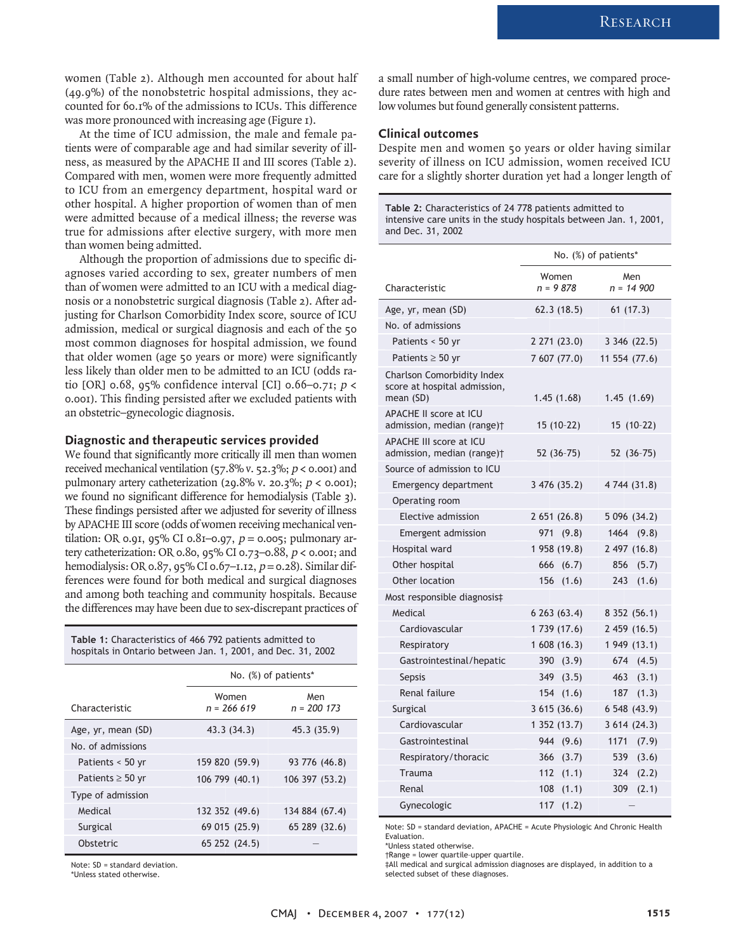women (Table 2). Although men accounted for about half (49.9%) of the nonobstetric hospital admissions, they accounted for 60.1% of the admissions to ICUs. This difference was more pronounced with increasing age (Figure 1).

At the time of ICU admission, the male and female patients were of comparable age and had similar severity of illness, as measured by the APACHE II and III scores (Table 2). Compared with men, women were more frequently admitted to ICU from an emergency department, hospital ward or other hospital. A higher proportion of women than of men were admitted because of a medical illness; the reverse was true for admissions after elective surgery, with more men than women being admitted.

Although the proportion of admissions due to specific diagnoses varied according to sex, greater numbers of men than of women were admitted to an ICU with a medical diagnosis or a nonobstetric surgical diagnosis (Table 2). After adjusting for Charlson Comorbidity Index score, source of ICU admission, medical or surgical diagnosis and each of the 50 most common diagnoses for hospital admission, we found that older women (age 50 years or more) were significantly less likely than older men to be admitted to an ICU (odds ratio [OR] 0.68, 95% confidence interval [CI] 0.66-0.71;  $p \lt \theta$ 0.001). This finding persisted after we excluded patients with an obstetric–gynecologic diagnosis.

## **Diagnostic and therapeutic services provided**

We found that significantly more critically ill men than women received mechanical ventilation (57.8% v. 52.3%;  $p <$  0.001) and pulmonary artery catheterization (29.8% v. 20.3%;  $p <$  0.001); we found no significant difference for hemodialysis (Table 3). These findings persisted after we adjusted for severity of illness by APACHE III score (odds of women receiving mechanical ventilation: OR 0.91, 95% CI 0.81–0.97,  $p = 0.005$ ; pulmonary artery catheterization: OR 0.80,  $95\%$  CI 0.73–0.88,  $p <$  0.001; and hemodialysis: OR  $0.87$ ,  $95\%$  CI  $0.67$ –1.12,  $p = 0.28$ ). Similar differences were found for both medical and surgical diagnoses and among both teaching and community hospitals. Because the differences may have been due to sex-discrepant practices of

| Table 1: Characteristics of 466 792 patients admitted to<br>hospitals in Ontario between Jan. 1, 2001, and Dec. 31, 2002 |                       |                      |  |  |  |  |
|--------------------------------------------------------------------------------------------------------------------------|-----------------------|----------------------|--|--|--|--|
|                                                                                                                          | No. (%) of patients*  |                      |  |  |  |  |
| Characteristic                                                                                                           | Women<br>$n = 266619$ | Men<br>$n = 200 173$ |  |  |  |  |
| Age, yr, mean (SD)                                                                                                       | 43.3 (34.3)           | 45.3 (35.9)          |  |  |  |  |
| No. of admissions                                                                                                        |                       |                      |  |  |  |  |
| Patients < 50 yr                                                                                                         | 159 820 (59.9)        | 93 776 (46.8)        |  |  |  |  |
| Patients $\geq 50$ yr                                                                                                    | 106 799 (40.1)        | 106 397 (53.2)       |  |  |  |  |
| Type of admission                                                                                                        |                       |                      |  |  |  |  |
| Medical                                                                                                                  | 132 352 (49.6)        | 134 884 (67.4)       |  |  |  |  |
| Surgical                                                                                                                 | 69 015 (25.9)         | 65 289 (32.6)        |  |  |  |  |
| Obstetric                                                                                                                | 65 252 (24.5)         |                      |  |  |  |  |

Note: SD = standard deviation.

\*Unless stated otherwise.

a small number of high-volume centres, we compared procedure rates between men and women at centres with high and low volumes but found generally consistent patterns.

# **Clinical outcomes**

Despite men and women 50 years or older having similar severity of illness on ICU admission, women received ICU care for a slightly shorter duration yet had a longer length of

**Table 2:** Characteristics of 24 778 patients admitted to intensive care units in the study hospitals between Jan. 1, 2001, and Dec. 31, 2002

|                                                                         | No. (%) of patients* |                    |  |  |
|-------------------------------------------------------------------------|----------------------|--------------------|--|--|
| Characteristic                                                          | Women<br>$n = 9878$  | Men<br>$n = 14900$ |  |  |
| Age, yr, mean (SD)                                                      | 62.3(18.5)           | 61(17.3)           |  |  |
| No. of admissions                                                       |                      |                    |  |  |
| Patients < 50 yr                                                        | 2 271 (23.0)         | 3 346 (22.5)       |  |  |
| Patients $\geq 50$ yr                                                   | 7 607 (77.0)         | 11 554 (77.6)      |  |  |
| Charlson Comorbidity Index<br>score at hospital admission,<br>mean (SD) | 1.45 (1.68)          | 1.45(1.69)         |  |  |
| <b>APACHE II score at ICU</b><br>admission, median (range)†             | 15 (10-22)           | $15(10-22)$        |  |  |
| APACHE III score at ICU<br>admission, median (range)†                   | 52 (36-75)           | 52 (36-75)         |  |  |
| Source of admission to ICU                                              |                      |                    |  |  |
| Emergency department                                                    | 3 476 (35.2)         | 4 744 (31.8)       |  |  |
| Operating room                                                          |                      |                    |  |  |
| Elective admission                                                      | 2651(26.8)           | 5 096 (34.2)       |  |  |
| Emergent admission                                                      | 971<br>(9.8)         | 1464<br>(9.8)      |  |  |
| Hospital ward                                                           | 1 958 (19.8)         | 2 497 (16.8)       |  |  |
| Other hospital                                                          | 666<br>(6.7)         | 856<br>(5.7)       |  |  |
| Other location                                                          | 156<br>(1.6)         | 243<br>(1.6)       |  |  |
| Most responsible diagnosis‡                                             |                      |                    |  |  |
| Medical                                                                 | 6263(63.4)           | 8 352 (56.1)       |  |  |
| Cardiovascular                                                          | 1 739 (17.6)         | 2 459 (16.5)       |  |  |
| Respiratory                                                             | 1608(16.3)           | 1 949 (13.1)       |  |  |
| Gastrointestinal/hepatic                                                | 390 (3.9)            | 674 (4.5)          |  |  |
| Sepsis                                                                  | 349<br>(3.5)         | 463<br>(3.1)       |  |  |
| Renal failure                                                           | 154<br>(1.6)         | 187<br>(1.3)       |  |  |
| Surgical                                                                | 3 615 (36.6)         | 6 548 (43.9)       |  |  |
| Cardiovascular                                                          | 1 352 (13.7)         | 3614(24.3)         |  |  |
| Gastrointestinal                                                        | 944 (9.6)            | 1171<br>(7.9)      |  |  |
| Respiratory/thoracic                                                    | 366 (3.7)            | 539<br>(3.6)       |  |  |
| Trauma                                                                  | 112<br>(1.1)         | 324<br>(2.2)       |  |  |
| Renal                                                                   | 108<br>(1.1)         | 309<br>(2.1)       |  |  |
| Gynecologic                                                             | 117<br>(1.2)         |                    |  |  |

Note: SD = standard deviation, APACHE = Acute Physiologic And Chronic Health Evaluation.

\*Unless stated otherwise.

†Range = lower quartile–upper quartile.

‡All medical and surgical admission diagnoses are displayed, in addition to a selected subset of these diagnoses.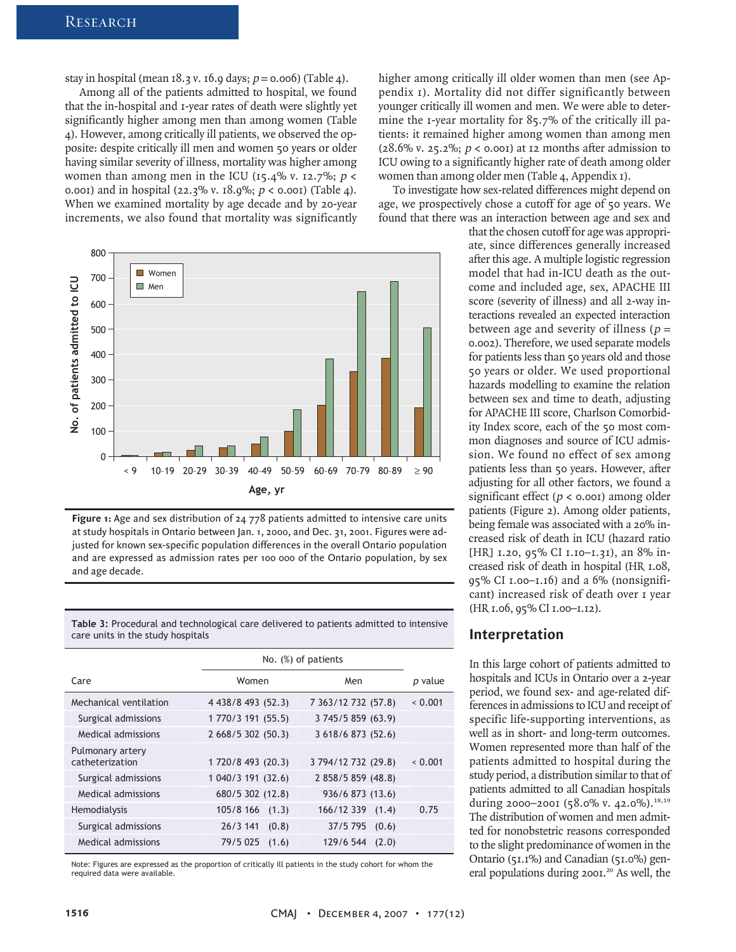stay in hospital (mean  $18.3$  v. 16.9 days;  $p = 0.006$ ) (Table 4).

Among all of the patients admitted to hospital, we found that the in-hospital and 1-year rates of death were slightly yet significantly higher among men than among women (Table 4). However, among critically ill patients, we observed the opposite: despite critically ill men and women 50 years or older having similar severity of illness, mortality was higher among women than among men in the ICU (15.4% v. 12.7%;  $p \lt \theta$ 0.001) and in hospital (22.3% v. 18.9%;  $p < 0.001$ ) (Table 4). When we examined mortality by age decade and by 20-year increments, we also found that mortality was significantly



**Figure 1:** Age and sex distribution of 24 778 patients admitted to intensive care units at study hospitals in Ontario between Jan. 1, 2000, and Dec. 31, 2001. Figures were adjusted for known sex-specific population differences in the overall Ontario population and are expressed as admission rates per 100 000 of the Ontario population, by sex and age decade.

**Table 3:** Procedural and technological care delivered to patients admitted to intensive care units in the study hospitals

|                                     | No. $(\%)$ of patients |                      |         |  |  |  |  |
|-------------------------------------|------------------------|----------------------|---------|--|--|--|--|
| Care                                | Women                  | Men                  | p value |  |  |  |  |
| Mechanical ventilation              | 4 438/8 493 (52.3)     | 7 363/12 732 (57.8)  | 0.001   |  |  |  |  |
| Surgical admissions                 | 1 770/3 191 (55.5)     | 3 745/5 859 (63.9)   |         |  |  |  |  |
| Medical admissions                  | 2 668/5 302 (50.3)     | 3 618/6 873 (52.6)   |         |  |  |  |  |
| Pulmonary artery<br>catheterization | 1 720/8 493 (20.3)     | 3 794/12 732 (29.8)  | 0.001   |  |  |  |  |
| Surgical admissions                 | 1 040/3 191 (32.6)     | 2 858/5 859 (48.8)   |         |  |  |  |  |
| Medical admissions                  | 680/5 302 (12.8)       | 936/6 873 (13.6)     |         |  |  |  |  |
| Hemodialysis                        | 105/8 166<br>(1.3)     | $166/12$ 339 $(1.4)$ | 0.75    |  |  |  |  |
| Surgical admissions                 | 26/3 141<br>(0.8)      | 37/5 795<br>(0.6)    |         |  |  |  |  |
| Medical admissions                  | 79/5 025<br>(1.6)      | 129/6 544<br>(2.0)   |         |  |  |  |  |

Note: Figures are expressed as the proportion of critically ill patients in the study cohort for whom the required data were available.

higher among critically ill older women than men (see Appendix 1). Mortality did not differ significantly between younger critically ill women and men. We were able to determine the 1-year mortality for 85.7% of the critically ill patients: it remained higher among women than among men (28.6% v. 25.2%;  $p <$  0.001) at 12 months after admission to ICU owing to a significantly higher rate of death among older women than among older men (Table 4, Appendix 1).

To investigate how sex-related differences might depend on age, we prospectively chose a cutoff for age of 50 years. We found that there was an interaction between age and sex and

that the chosen cutoff for age was appropriate, since differences generally increased after this age. A multiple logistic regression model that had in-ICU death as the outcome and included age, sex, APACHE III score (severity of illness) and all 2-way interactions revealed an expected interaction between age and severity of illness ( $p =$ 0.002). Therefore, we used separate models for patients less than 50 years old and those 50 years or older. We used proportional hazards modelling to examine the relation between sex and time to death, adjusting for APACHE III score, Charlson Comorbidity Index score, each of the 50 most common diagnoses and source of ICU admission. We found no effect of sex among patients less than 50 years. However, after adjusting for all other factors, we found a significant effect ( $p <$  0.001) among older patients (Figure 2). Among older patients, being female was associated with a 20% increased risk of death in ICU (hazard ratio [HR] 1.20, 95% CI 1.10-1.31), an 8% increased risk of death in hospital (HR 1.08, 95% CI 1.00–1.16) and a 6% (nonsignificant) increased risk of death over 1 year (HR 1.06, 95% CI 1.00–1.12).

# **Interpretation**

In this large cohort of patients admitted to hospitals and ICUs in Ontario over a 2-year period, we found sex- and age-related differences in admissions to ICU and receipt of specific life-supporting interventions, as well as in short- and long-term outcomes. Women represented more than half of the patients admitted to hospital during the study period, a distribution similar to that of patients admitted to all Canadian hospitals during 2000–2001 (58.0% v. 42.0%).<sup>18,19</sup> The distribution of women and men admitted for nonobstetric reasons corresponded to the slight predominance of women in the Ontario (51.1%) and Canadian (51.0%) general populations during 2001.<sup>20</sup> As well, the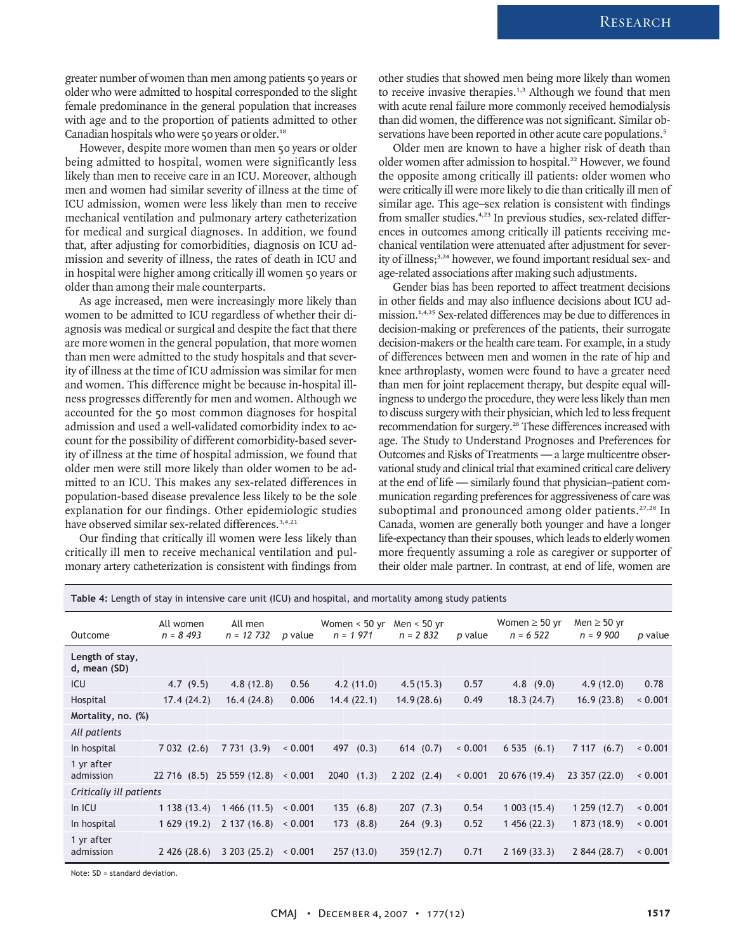greater number of women than men among patients 50 years or older who were admitted to hospital corresponded to the slight female predominance in the general population that increases with age and to the proportion of patients admitted to other Canadian hospitals who were 50 years or older.<sup>18</sup>

However, despite more women than men 50 years or older being admitted to hospital, women were significantly less likely than men to receive care in an ICU. Moreover, although men and women had similar severity of illness at the time of ICU admission, women were less likely than men to receive mechanical ventilation and pulmonary artery catheterization for medical and surgical diagnoses. In addition, we found that, after adjusting for comorbidities, diagnosis on ICU admission and severity of illness, the rates of death in ICU and in hospital were higher among critically ill women 50 years or older than among their male counterparts.

As age increased, men were increasingly more likely than women to be admitted to ICU regardless of whether their diagnosis was medical or surgical and despite the fact that there are more women in the general population, that more women than men were admitted to the study hospitals and that severity of illness at the time of ICU admission was similar for men and women. This difference might be because in-hospital illness progresses differently for men and women. Although we accounted for the 50 most common diagnoses for hospital admission and used a well-validated comorbidity index to account for the possibility of different comorbidity-based severity of illness at the time of hospital admission, we found that older men were still more likely than older women to be admitted to an ICU. This makes any sex-related differences in population-based disease prevalence less likely to be the sole explanation for our findings. Other epidemiologic studies have observed similar sex-related differences.<sup>3,4,21</sup>

Our finding that critically ill women were less likely than critically ill men to receive mechanical ventilation and pulmonary artery catheterization is consistent with findings from other studies that showed men being more likely than women to receive invasive therapies.<sup>1,3</sup> Although we found that men with acute renal failure more commonly received hemodialysis than did women, the difference was not significant. Similar observations have been reported in other acute care populations.<sup>5</sup>

Older men are known to have a higher risk of death than older women after admission to hospital.<sup>22</sup> However, we found the opposite among critically ill patients: older women who were critically ill were more likely to die than critically ill men of similar age. This age–sex relation is consistent with findings from smaller studies.<sup>4,23</sup> In previous studies, sex-related differences in outcomes among critically ill patients receiving mechanical ventilation were attenuated after adjustment for severity of illness;<sup>3,24</sup> however, we found important residual sex- and age-related associations after making such adjustments.

Gender bias has been reported to affect treatment decisions in other fields and may also influence decisions about ICU admission.1,4,25 Sex-related differences may be due to differences in decision-making or preferences of the patients, their surrogate decision-makers or the health care team. For example, in a study of differences between men and women in the rate of hip and knee arthroplasty, women were found to have a greater need than men for joint replacement therapy, but despite equal willingness to undergo the procedure, they were less likely than men to discuss surgery with their physician, which led to less frequent recommendation for surgery.<sup>26</sup> These differences increased with age. The Study to Understand Prognoses and Preferences for Outcomes and Risks of Treatments — a large multicentre observational study and clinical trial that examined critical care delivery at the end of life — similarly found that physician–patient communication regarding preferences for aggressiveness of care was suboptimal and pronounced among older patients.<sup>27,28</sup> In Canada, women are generally both younger and have a longer life-expectancy than their spouses, which leads to elderly women more frequently assuming a role as caregiver or supporter of their older male partner. In contrast, at end of life, women are

| Table 4: Length of stay in intensive care unit (ICU) and hospital, and mortality among study patients |                          |                            |         |                                  |                                |         |                                  |                                |         |
|-------------------------------------------------------------------------------------------------------|--------------------------|----------------------------|---------|----------------------------------|--------------------------------|---------|----------------------------------|--------------------------------|---------|
| Outcome                                                                                               | All women<br>$n = 8,493$ | All men<br>$n = 12,732$    | p value | Women $\leq 50$ yr<br>$n = 1971$ | Men $\leq 50$ yr<br>$n = 2832$ | p value | Women $\geq 50$ yr<br>$n = 6522$ | Men $\geq$ 50 yr<br>$n = 9900$ | p value |
| Length of stay,<br>d, mean (SD)                                                                       |                          |                            |         |                                  |                                |         |                                  |                                |         |
| ICU                                                                                                   | 4.7(9.5)                 | 4.8(12.8)                  | 0.56    | 4.2(11.0)                        | 4.5(15.3)                      | 0.57    | $4.8$ (9.0)                      | 4.9(12.0)                      | 0.78    |
| Hospital                                                                                              | 17.4(24.2)               | 16.4(24.8)                 | 0.006   | 14.4(22.1)                       | 14.9(28.6)                     | 0.49    | 18.3(24.7)                       | 16.9(23.8)                     | < 0.001 |
| Mortality, no. (%)                                                                                    |                          |                            |         |                                  |                                |         |                                  |                                |         |
| All patients                                                                                          |                          |                            |         |                                  |                                |         |                                  |                                |         |
| In hospital                                                                                           | 7032(2.6)                | 7 7 31 (3.9)               | 0.001   | 497 (0.3)                        | 614(0.7)                       | 0.001   | 6535(6.1)                        | 7117(6.7)                      | 0.001   |
| 1 yr after<br>admission                                                                               |                          | 22 716 (8.5) 25 559 (12.8) | 0.001   | 2040(1.3)                        | $2,202$ $(2.4)$                | 0.001   | 20 676 (19.4)                    | 23 357 (22.0)                  | 0.001   |
| Critically ill patients                                                                               |                          |                            |         |                                  |                                |         |                                  |                                |         |
| In ICU                                                                                                | 1138(13.4)               | 1,466, (11.5)              | 0.001   | 135(6.8)                         | 207(7.3)                       | 0.54    | 1003(15.4)                       | 1259(12.7)                     | 0.001   |
| In hospital                                                                                           | 1629(19.2)               | 2137(16.8)                 | 0.001   | (8.8)<br>173                     | 264(9.3)                       | 0.52    | 1456(22.3)                       | 1 873 (18.9)                   | 0.001   |
| 1 yr after<br>admission                                                                               | 2 426 (28.6)             | 3203(25.2)                 | 0.001   | 257(13.0)                        | 359(12.7)                      | 0.71    | 2,169, (33.3)                    | 2 844 (28.7)                   | 0.001   |

Note: SD = standard deviation.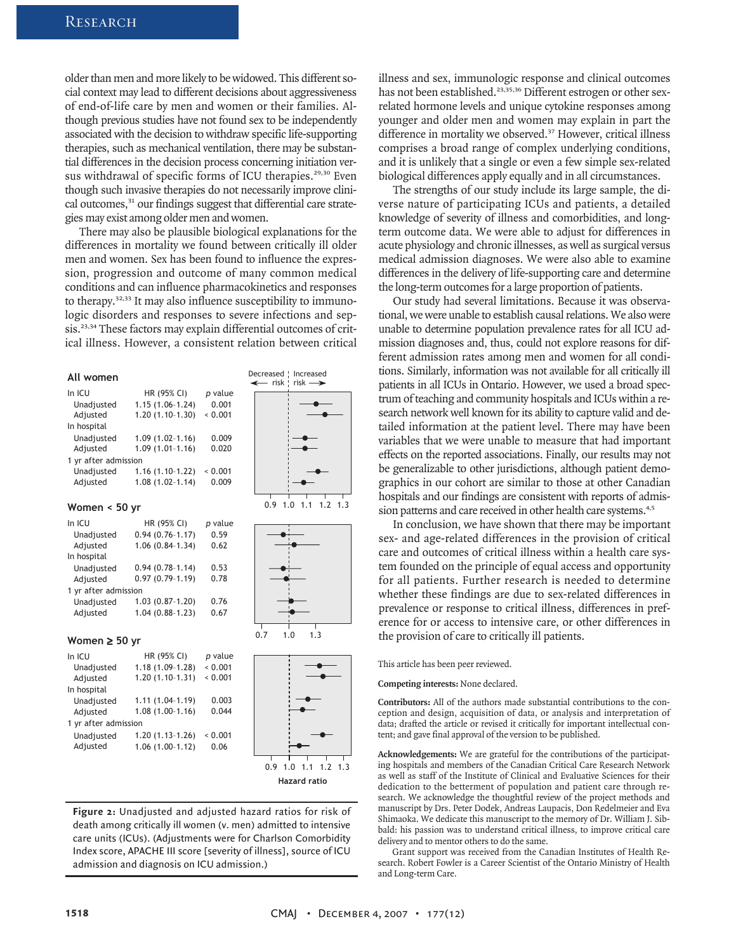older than men and more likely to be widowed. This different social context may lead to different decisions about aggressiveness of end-of-life care by men and women or their families. Although previous studies have not found sex to be independently associated with the decision to withdraw specific life-supporting therapies, such as mechanical ventilation, there may be substantial differences in the decision process concerning initiation versus withdrawal of specific forms of ICU therapies.<sup>29,30</sup> Even though such invasive therapies do not necessarily improve clinical outcomes,<sup>31</sup> our findings suggest that differential care strategies may exist among older men and women.

There may also be plausible biological explanations for the differences in mortality we found between critically ill older men and women. Sex has been found to influence the expression, progression and outcome of many common medical conditions and can influence pharmacokinetics and responses to therapy.<sup>32,33</sup> It may also influence susceptibility to immunologic disorders and responses to severe infections and sepsis.<sup>23,34</sup> These factors may explain differential outcomes of critical illness. However, a consistent relation between critical

| All women            |                     |         | Decreased<br>← risk   |
|----------------------|---------------------|---------|-----------------------|
| In ICU               | HR (95% CI)         | p value |                       |
| Unadjusted           | $1.15(1.06-1.24)$   | 0.001   |                       |
| Adjusted             | $1.20(1.10-1.30)$   | 0.001   |                       |
| In hospital          |                     |         |                       |
| Unadjusted           | $1.09(1.02 - 1.16)$ | 0.009   |                       |
| Adjusted             | $1.09(1.01-1.16)$   | 0.020   |                       |
| 1 yr after admission |                     |         |                       |
| Unadjusted           | $1.16(1.10-1.22)$   | 0.001   |                       |
| Adjusted             | $1.08(1.02 - 1.14)$ | 0.009   |                       |
|                      |                     |         |                       |
| Women < 50 yr        |                     |         | 0.9<br>$\overline{1}$ |
| In ICU               | HR (95% CI)         | p value |                       |
| Unadjusted           | $0.94(0.76-1.17)$   | 0.59    |                       |
| Adjusted             | $1.06(0.84-1.34)$   | 0.62    |                       |
| In hospital          |                     |         |                       |
| Unadjusted           | $0.94(0.78-1.14)$   | 0.53    |                       |
| Adjusted             | $0.97(0.79-1.19)$   | 0.78    |                       |
| 1 yr after admission |                     |         |                       |
| Unadjusted           | $1.03(0.87-1.20)$   | 0.76    |                       |
| Adjusted             | $1.04(0.88-1.23)$   | 0.67    |                       |
|                      |                     |         |                       |
| Women $\geq 50$ yr   |                     |         | 0.7<br>1              |
| In ICU               | HR (95% CI)         | p value |                       |
| Unadjusted           | $1.18(1.09-1.28)$   | 0.001   |                       |
| Adjusted             | $1.20(1.10-1.31)$   | < 0.001 |                       |
| In hospital          |                     |         |                       |
| Unadjusted           | $1.11(1.04-1.19)$   | 0.003   |                       |
| Adjusted             | $1.08(1.00-1.16)$   | 0.044   |                       |
| 1 yr after admission |                     |         |                       |
| Unadjusted           | $1.20(1.13-1.26)$   | 0.001   |                       |
| Adjusted             | $1.06(1.00-1.12)$   | 0.06    |                       |
|                      |                     |         |                       |
|                      |                     |         |                       |





**Figure 2:** Unadjusted and adjusted hazard ratios for risk of death among critically ill women (v. men) admitted to intensive care units (ICUs). (Adjustments were for Charlson Comorbidity Index score, APACHE III score [severity of illness], source of ICU admission and diagnosis on ICU admission.)

illness and sex, immunologic response and clinical outcomes has not been established.<sup>23,35,36</sup> Different estrogen or other sexrelated hormone levels and unique cytokine responses among younger and older men and women may explain in part the difference in mortality we observed.<sup>37</sup> However, critical illness comprises a broad range of complex underlying conditions, and it is unlikely that a single or even a few simple sex-related biological differences apply equally and in all circumstances.

The strengths of our study include its large sample, the diverse nature of participating ICUs and patients, a detailed knowledge of severity of illness and comorbidities, and longterm outcome data. We were able to adjust for differences in acute physiology and chronic illnesses, as well as surgical versus medical admission diagnoses. We were also able to examine differences in the delivery of life-supporting care and determine the long-term outcomes for a large proportion of patients.

Our study had several limitations. Because it was observational, we were unable to establish causal relations. We also were unable to determine population prevalence rates for all ICU admission diagnoses and, thus, could not explore reasons for different admission rates among men and women for all conditions. Similarly, information was not available for all critically ill patients in all ICUs in Ontario. However, we used a broad spectrum of teaching and community hospitals and ICUs within a research network well known for its ability to capture valid and detailed information at the patient level. There may have been variables that we were unable to measure that had important effects on the reported associations. Finally, our results may not be generalizable to other jurisdictions, although patient demographics in our cohort are similar to those at other Canadian hospitals and our findings are consistent with reports of admission patterns and care received in other health care systems.<sup>4,5</sup>

In conclusion, we have shown that there may be important sex- and age-related differences in the provision of critical care and outcomes of critical illness within a health care system founded on the principle of equal access and opportunity for all patients. Further research is needed to determine whether these findings are due to sex-related differences in prevalence or response to critical illness, differences in preference for or access to intensive care, or other differences in the provision of care to critically ill patients.

This article has been peer reviewed.

**Competing interests:** None declared.

**Contributors:** All of the authors made substantial contributions to the conception and design, acquisition of data, or analysis and interpretation of data; drafted the article or revised it critically for important intellectual content; and gave final approval of the version to be published.

**Acknowledgements:** We are grateful for the contributions of the participating hospitals and members of the Canadian Critical Care Research Network as well as staff of the Institute of Clinical and Evaluative Sciences for their dedication to the betterment of population and patient care through research. We acknowledge the thoughtful review of the project methods and manuscript by Drs. Peter Dodek, Andreas Laupacis, Don Redelmeier and Eva Shimaoka. We dedicate this manuscript to the memory of Dr. William J. Sibbald: his passion was to understand critical illness, to improve critical care delivery and to mentor others to do the same.

Grant support was received from the Canadian Institutes of Health Research. Robert Fowler is a Career Scientist of the Ontario Ministry of Health and Long-term Care.